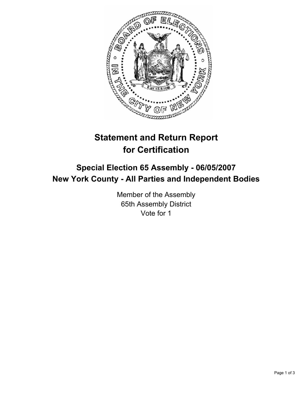

# **Statement and Return Report for Certification**

## **Special Election 65 Assembly - 06/05/2007 New York County - All Parties and Independent Bodies**

Member of the Assembly 65th Assembly District Vote for 1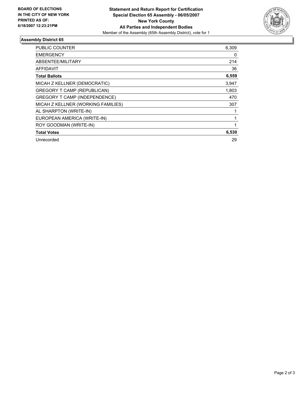

### **Assembly District 65**

| <b>PUBLIC COUNTER</b>              | 6,309 |
|------------------------------------|-------|
| <b>EMERGENCY</b>                   | 0     |
| ABSENTEE/MILITARY                  | 214   |
| AFFIDAVIT                          | 36    |
| <b>Total Ballots</b>               | 6,559 |
| MICAH Z KELLNER (DEMOCRATIC)       | 3,947 |
| GREGORY T CAMP (REPUBLICAN)        | 1,803 |
| GREGORY T CAMP (INDEPENDENCE)      | 470   |
| MICAH Z KELLNER (WORKING FAMILIES) | 307   |
| AL SHARPTON (WRITE-IN)             |       |
| EUROPEAN AMERICA (WRITE-IN)        |       |
| ROY GOODMAN (WRITE-IN)             |       |
| <b>Total Votes</b>                 | 6,530 |
| Unrecorded                         | 29    |